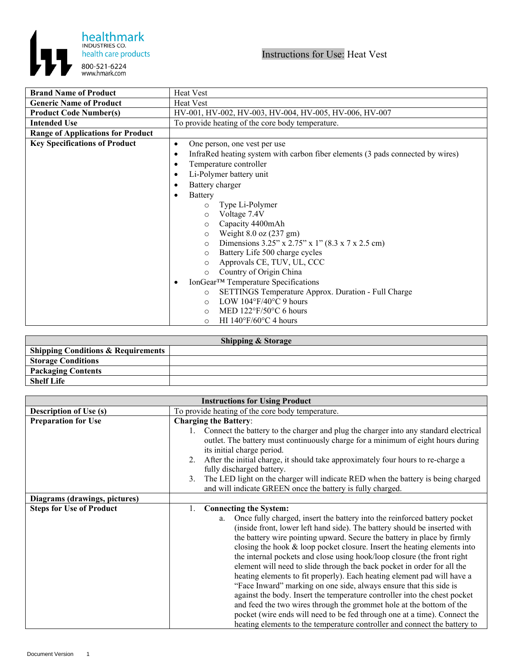



| <b>Brand Name of Product</b>             | <b>Heat Vest</b>                                                                            |
|------------------------------------------|---------------------------------------------------------------------------------------------|
| <b>Generic Name of Product</b>           | <b>Heat Vest</b>                                                                            |
| <b>Product Code Number(s)</b>            | HV-001, HV-002, HV-003, HV-004, HV-005, HV-006, HV-007                                      |
| Intended Use                             | To provide heating of the core body temperature.                                            |
| <b>Range of Applications for Product</b> |                                                                                             |
| <b>Key Specifications of Product</b>     | One person, one vest per use<br>$\bullet$                                                   |
|                                          | InfraRed heating system with carbon fiber elements (3 pads connected by wires)<br>$\bullet$ |
|                                          | Temperature controller<br>٠                                                                 |
|                                          | Li-Polymer battery unit<br>$\bullet$                                                        |
|                                          | Battery charger<br>٠                                                                        |
|                                          | Battery<br>$\bullet$                                                                        |
|                                          | Type Li-Polymer<br>$\circ$                                                                  |
|                                          | Voltage 7.4V<br>$\circ$                                                                     |
|                                          | Capacity 4400mAh<br>$\circ$                                                                 |
|                                          | Weight $8.0$ oz $(237 \text{ gm})$<br>$\circ$                                               |
|                                          | Dimensions 3.25" x 2.75" x 1" (8.3 x 7 x 2.5 cm)<br>$\circ$                                 |
|                                          | Battery Life 500 charge cycles<br>$\circ$                                                   |
|                                          | Approvals CE, TUV, UL, CCC<br>$\circ$                                                       |
|                                          | Country of Origin China<br>$\circ$                                                          |
|                                          | IonGear <sup>™</sup> Temperature Specifications<br>٠                                        |
|                                          | SETTINGS Temperature Approx. Duration - Full Charge<br>$\circ$                              |
|                                          | LOW $104^{\circ}F/40^{\circ}C$ 9 hours<br>$\circ$                                           |
|                                          | MED $122^{\circ}F/50^{\circ}C$ 6 hours<br>$\circ$                                           |
|                                          | HI $140^{\circ}F/60^{\circ}C$ 4 hours<br>$\circ$                                            |

| <b>Shipping &amp; Storage</b>                 |  |  |
|-----------------------------------------------|--|--|
| <b>Shipping Conditions &amp; Requirements</b> |  |  |
| <b>Storage Conditions</b>                     |  |  |
| <b>Packaging Contents</b>                     |  |  |
| <b>Shelf Life</b>                             |  |  |

| <b>Instructions for Using Product</b> |                                                                                                                                                                          |
|---------------------------------------|--------------------------------------------------------------------------------------------------------------------------------------------------------------------------|
| <b>Description of Use (s)</b>         | To provide heating of the core body temperature.                                                                                                                         |
| <b>Preparation for Use</b>            | <b>Charging the Battery:</b>                                                                                                                                             |
|                                       | Connect the battery to the charger and plug the charger into any standard electrical<br>outlet. The battery must continuously charge for a minimum of eight hours during |
|                                       | its initial charge period.                                                                                                                                               |
|                                       | After the initial charge, it should take approximately four hours to re-charge a<br>2.                                                                                   |
|                                       | fully discharged battery.                                                                                                                                                |
|                                       | The LED light on the charger will indicate RED when the battery is being charged<br>3.<br>and will indicate GREEN once the battery is fully charged.                     |
| Diagrams (drawings, pictures)         |                                                                                                                                                                          |
| <b>Steps for Use of Product</b>       | <b>Connecting the System:</b><br>1.                                                                                                                                      |
|                                       | Once fully charged, insert the battery into the reinforced battery pocket<br>a.                                                                                          |
|                                       | (inside front, lower left hand side). The battery should be inserted with                                                                                                |
|                                       | the battery wire pointing upward. Secure the battery in place by firmly<br>closing the hook $&$ loop pocket closure. Insert the heating elements into                    |
|                                       | the internal pockets and close using hook/loop closure (the front right                                                                                                  |
|                                       | element will need to slide through the back pocket in order for all the                                                                                                  |
|                                       | heating elements to fit properly). Each heating element pad will have a                                                                                                  |
|                                       | "Face Inward" marking on one side, always ensure that this side is                                                                                                       |
|                                       | against the body. Insert the temperature controller into the chest pocket                                                                                                |
|                                       | and feed the two wires through the grommet hole at the bottom of the                                                                                                     |
|                                       | pocket (wire ends will need to be fed through one at a time). Connect the                                                                                                |
|                                       | heating elements to the temperature controller and connect the battery to                                                                                                |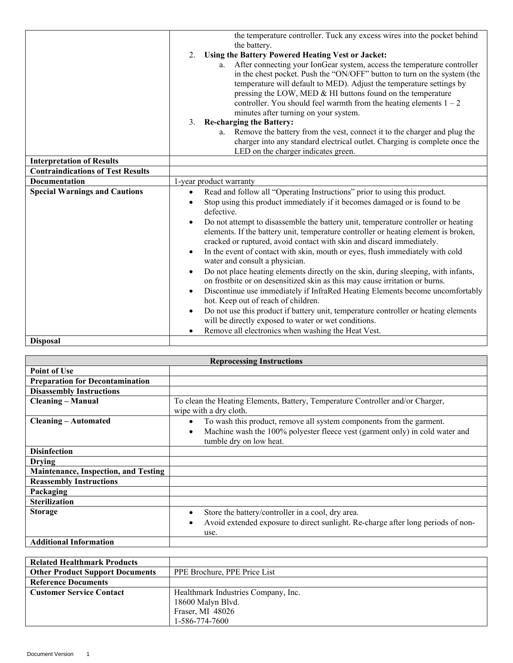|                                          | the temperature controller. Tuck any excess wires into the pocket behind<br>the battery.<br>Using the Battery Powered Heating Vest or Jacket:<br>2.<br>After connecting your IonGear system, access the temperature controller<br>a.<br>in the chest pocket. Push the "ON/OFF" button to turn on the system (the<br>temperature will default to MED). Adjust the temperature settings by<br>pressing the LOW, MED & HI buttons found on the temperature<br>controller. You should feel warmth from the heating elements $1 - 2$<br>minutes after turning on your system.<br><b>Re-charging the Battery:</b><br>3.<br>a. Remove the battery from the vest, connect it to the charger and plug the<br>charger into any standard electrical outlet. Charging is complete once the<br>LED on the charger indicates green.                                                                                                                                                                                                                                                                   |
|------------------------------------------|-----------------------------------------------------------------------------------------------------------------------------------------------------------------------------------------------------------------------------------------------------------------------------------------------------------------------------------------------------------------------------------------------------------------------------------------------------------------------------------------------------------------------------------------------------------------------------------------------------------------------------------------------------------------------------------------------------------------------------------------------------------------------------------------------------------------------------------------------------------------------------------------------------------------------------------------------------------------------------------------------------------------------------------------------------------------------------------------|
| <b>Interpretation of Results</b>         |                                                                                                                                                                                                                                                                                                                                                                                                                                                                                                                                                                                                                                                                                                                                                                                                                                                                                                                                                                                                                                                                                         |
| <b>Contraindications of Test Results</b> |                                                                                                                                                                                                                                                                                                                                                                                                                                                                                                                                                                                                                                                                                                                                                                                                                                                                                                                                                                                                                                                                                         |
| <b>Documentation</b>                     | 1-year product warranty                                                                                                                                                                                                                                                                                                                                                                                                                                                                                                                                                                                                                                                                                                                                                                                                                                                                                                                                                                                                                                                                 |
| <b>Special Warnings and Cautions</b>     | Read and follow all "Operating Instructions" prior to using this product.<br>$\bullet$<br>Stop using this product immediately if it becomes damaged or is found to be<br>defective.<br>Do not attempt to disassemble the battery unit, temperature controller or heating<br>$\bullet$<br>elements. If the battery unit, temperature controller or heating element is broken,<br>cracked or ruptured, avoid contact with skin and discard immediately.<br>In the event of contact with skin, mouth or eyes, flush immediately with cold<br>$\bullet$<br>water and consult a physician.<br>Do not place heating elements directly on the skin, during sleeping, with infants,<br>on frostbite or on desensitized skin as this may cause irritation or burns.<br>Discontinue use immediately if InfraRed Heating Elements become uncomfortably<br>hot. Keep out of reach of children.<br>Do not use this product if battery unit, temperature controller or heating elements<br>will be directly exposed to water or wet conditions.<br>Remove all electronics when washing the Heat Vest. |
| <b>Disposal</b>                          |                                                                                                                                                                                                                                                                                                                                                                                                                                                                                                                                                                                                                                                                                                                                                                                                                                                                                                                                                                                                                                                                                         |

| <b>Reprocessing Instructions</b>            |                                                                                                                                                                                                           |
|---------------------------------------------|-----------------------------------------------------------------------------------------------------------------------------------------------------------------------------------------------------------|
| <b>Point of Use</b>                         |                                                                                                                                                                                                           |
| <b>Preparation for Decontamination</b>      |                                                                                                                                                                                                           |
| <b>Disassembly Instructions</b>             |                                                                                                                                                                                                           |
| <b>Cleaning - Manual</b>                    | To clean the Heating Elements, Battery, Temperature Controller and/or Charger,<br>wipe with a dry cloth.                                                                                                  |
| <b>Cleaning – Automated</b>                 | To wash this product, remove all system components from the garment.<br>$\bullet$<br>Machine wash the 100% polyester fleece vest (garment only) in cold water and<br>$\bullet$<br>tumble dry on low heat. |
| <b>Disinfection</b>                         |                                                                                                                                                                                                           |
| <b>Drying</b>                               |                                                                                                                                                                                                           |
| <b>Maintenance, Inspection, and Testing</b> |                                                                                                                                                                                                           |
| <b>Reassembly Instructions</b>              |                                                                                                                                                                                                           |
| Packaging                                   |                                                                                                                                                                                                           |
| <b>Sterilization</b>                        |                                                                                                                                                                                                           |
| <b>Storage</b>                              | Store the battery/controller in a cool, dry area.<br>$\bullet$<br>Avoid extended exposure to direct sunlight. Re-charge after long periods of non-<br>use.                                                |
| <b>Additional Information</b>               |                                                                                                                                                                                                           |

| <b>Related Healthmark Products</b>     |                                     |
|----------------------------------------|-------------------------------------|
| <b>Other Product Support Documents</b> | PPE Brochure, PPE Price List        |
| <b>Reference Documents</b>             |                                     |
| <b>Customer Service Contact</b>        | Healthmark Industries Company, Inc. |
|                                        | 18600 Malyn Blvd.                   |
|                                        | Fraser, MI 48026                    |
|                                        | 1-586-774-7600                      |